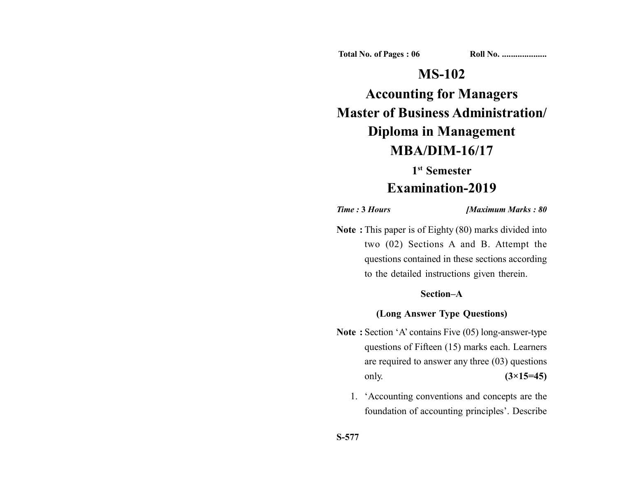**Total No. of Pages : 06 Roll No. ...................** 

## **MS-102**

**Accounting for Managers Master of Business Administration/ Diploma in Management MBA/DIM-16/17**

# **1st Semester Examination-2019**

*Time :* **3** *Hours [Maximum Marks : 80*

**Note :** This paper is of Eighty (80) marks divided into two (02) Sections A and B. Attempt the questions contained in these sections according to the detailed instructions given therein.

#### **Section–A**

#### **(Long Answer Type Questions)**

- **Note :** Section 'A' contains Five (05) long-answer-type questions of Fifteen (15) marks each. Learners are required to answer any three (03) questions only. **(3×15=45)**
	- 1. 'Accounting conventions and concepts are the foundation of accounting principles'. Describe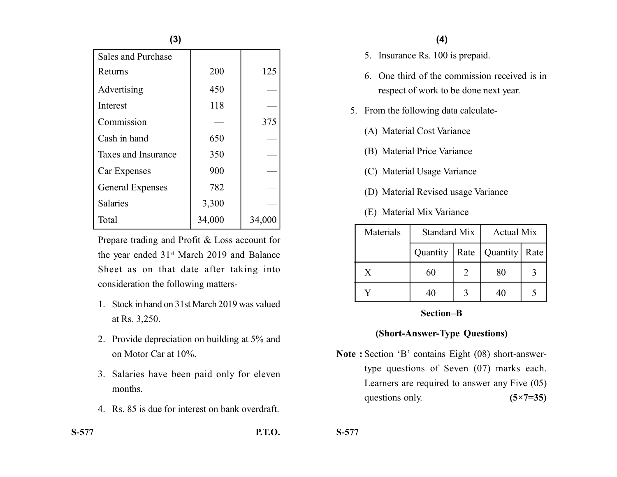| (3)                       |        |        |  |
|---------------------------|--------|--------|--|
| <b>Sales and Purchase</b> |        |        |  |
| Returns                   | 200    | 125    |  |
| Advertising               | 450    |        |  |
| Interest                  | 118    |        |  |
| Commission                |        | 375    |  |
| Cash in hand              | 650    |        |  |
| Taxes and Insurance       | 350    |        |  |
| Car Expenses              | 900    |        |  |
| <b>General Expenses</b>   | 782    |        |  |
| <b>Salaries</b>           | 3,300  |        |  |
| Total                     | 34,000 | 34,000 |  |

**(3)**

Prepare trading and Profit & Loss account for the year ended 31<sup>st</sup> March 2019 and Balance Sheet as on that date after taking into consideration the following matters-

- 1. Stock in hand on 31st March 2019 was valued at Rs. 3,250.
- 2. Provide depreciation on building at 5% and on Motor Car at 10%.
- 3. Salaries have been paid only for eleven months.
- 4. Rs. 85 is due for interest on bank overdraft.

## **(4)**

- 5. Insurance Rs. 100 is prepaid.
- 6. One third of the commission received is in respect of work to be done next year.
- 5. From the following data calculate-
	- (A) Material Cost Variance
	- (B) Material Price Variance
	- (C) Material Usage Variance
	- (D) Material Revised usage Variance
	- (E) Material Mix Variance

| Materials | <b>Standard Mix</b> |      | <b>Actual Mix</b> |  |
|-----------|---------------------|------|-------------------|--|
|           | Quantity            | Rate | Quantity   Rate   |  |
| v         | 60                  |      | 80                |  |
|           | 40                  |      | 40                |  |

## **Section–B**

## **(Short-Answer-Type Questions)**

**Note :** Section 'B' contains Eight (08) short-answertype questions of Seven (07) marks each. Learners are required to answer any Five (05) questions only. **(5×7=35)** 

**S-577 P.T.O. S-577**